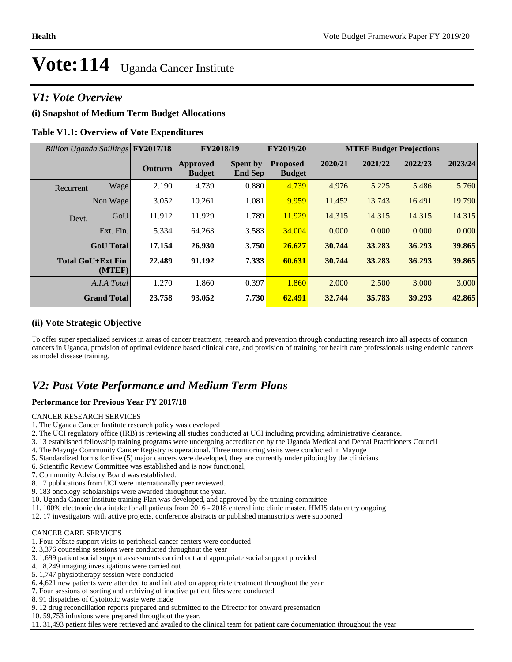# *V1: Vote Overview*

# **(i) Snapshot of Medium Term Budget Allocations**

# **Table V1.1: Overview of Vote Expenditures**

| Billion Uganda Shillings FY2017/18 |           |                |                                  | FY2018/19                         | <b>FY2019/20</b>                 | <b>MTEF Budget Projections</b> |         |         |         |
|------------------------------------|-----------|----------------|----------------------------------|-----------------------------------|----------------------------------|--------------------------------|---------|---------|---------|
|                                    |           | <b>Outturn</b> | <b>Approved</b><br><b>Budget</b> | <b>Spent by</b><br><b>End Sep</b> | <b>Proposed</b><br><b>Budget</b> | 2020/21                        | 2021/22 | 2022/23 | 2023/24 |
| Recurrent                          | Wage      | 2.190          | 4.739                            | 0.880                             | 4.739                            | 4.976                          | 5.225   | 5.486   | 5.760   |
| Non Wage                           |           | 3.052          | 10.261                           | 1.081                             | 9.959                            | 11.452                         | 13.743  | 16.491  | 19.790  |
| Devt.                              | GoU       | 11.912         | 11.929                           | 1.789                             | 11.929                           | 14.315                         | 14.315  | 14.315  | 14.315  |
|                                    | Ext. Fin. | 5.334          | 64.263                           | 3.583                             | 34.004                           | 0.000                          | 0.000   | 0.000   | 0.000   |
| <b>GoU</b> Total                   |           | 17.154         | 26.930                           | 3.750                             | 26.627                           | 30.744                         | 33.283  | 36.293  | 39.865  |
| <b>Total GoU+Ext Fin</b>           | (MTEF)    | 22.489         | 91.192                           | 7.333                             | 60.631                           | 30.744                         | 33.283  | 36.293  | 39.865  |
| A.I.A Total                        |           | 1.270          | 1.860                            | 0.397                             | 1.860                            | 2.000                          | 2.500   | 3.000   | 3.000   |
| <b>Grand Total</b>                 |           | 23.758         | 93.052                           | 7.730                             | 62.491                           | 32.744                         | 35.783  | 39.293  | 42.865  |

### **(ii) Vote Strategic Objective**

To offer super specialized services in areas of cancer treatment, research and prevention through conducting research into all aspects of common cancers in Uganda, provision of optimal evidence based clinical care, and provision of training for health care professionals using endemic cancers as model disease training.

# *V2: Past Vote Performance and Medium Term Plans*

### **Performance for Previous Year FY 2017/18**

CANCER RESEARCH SERVICES

- 1. The Uganda Cancer Institute research policy was developed
- 2. The UCI regulatory office (IRB) is reviewing all studies conducted at UCI including providing administrative clearance.
- 3. 13 established fellowship training programs were undergoing accreditation by the Uganda Medical and Dental Practitioners Council
- 4. The Mayuge Community Cancer Registry is operational. Three monitoring visits were conducted in Mayuge
- 5. Standardized forms for five (5) major cancers were developed, they are currently under piloting by the clinicians
- 6. Scientific Review Committee was established and is now functional,
- 7. Community Advisory Board was established.
- 8. 17 publications from UCI were internationally peer reviewed.
- 9. 183 oncology scholarships were awarded throughout the year.
- 10. Uganda Cancer Institute training Plan was developed, and approved by the training committee
- 11. 100% electronic data intake for all patients from 2016 2018 entered into clinic master. HMIS data entry ongoing
- 12. 17 investigators with active projects, conference abstracts or published manuscripts were supported

#### CANCER CARE SERVICES

- 1. Four offsite support visits to peripheral cancer centers were conducted
- 2. 3,376 counseling sessions were conducted throughout the year
- 3. 1,699 patient social support assessments carried out and appropriate social support provided
- 4. 18,249 imaging investigations were carried out
- 5. 1,747 physiotherapy session were conducted
- 6. 4,621 new patients were attended to and initiated on appropriate treatment throughout the year
- 7. Four sessions of sorting and archiving of inactive patient files were conducted
- 8. 91 dispatches of Cytotoxic waste were made
- 9. 12 drug reconciliation reports prepared and submitted to the Director for onward presentation
- 10. 59,753 infusions were prepared throughout the year.
- 11. 31,493 patient files were retrieved and availed to the clinical team for patient care documentation throughout the year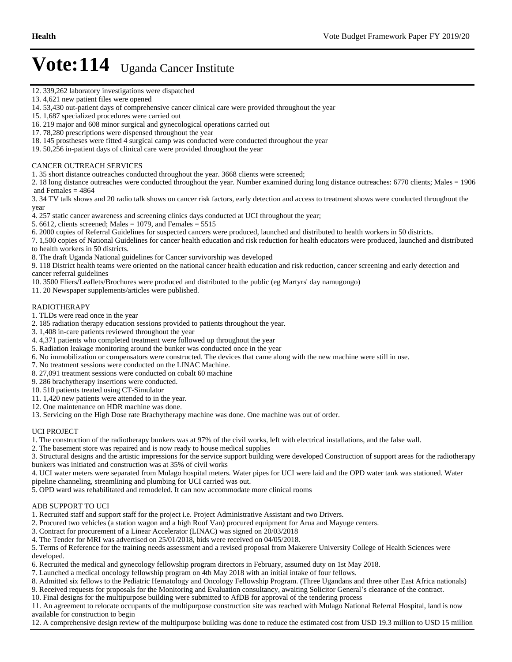- 12. 339,262 laboratory investigations were dispatched
- 13. 4,621 new patient files were opened
- 14. 53,430 out-patient days of comprehensive cancer clinical care were provided throughout the year
- 15. 1,687 specialized procedures were carried out
- 16. 219 major and 608 minor surgical and gynecological operations carried out
- 17. 78,280 prescriptions were dispensed throughout the year
- 18. 145 prostheses were fitted 4 surgical camp was conducted were conducted throughout the year
- 19. 50,256 in-patient days of clinical care were provided throughout the year

### CANCER OUTREACH SERVICES

1. 35 short distance outreaches conducted throughout the year. 3668 clients were screened;

2. 18 long distance outreaches were conducted throughout the year. Number examined during long distance outreaches: 6770 clients; Males = 1906 and Females  $= 4864$ 

3. 34 TV talk shows and 20 radio talk shows on cancer risk factors, early detection and access to treatment shows were conducted throughout the year

4. 257 static cancer awareness and screening clinics days conducted at UCI throughout the year;

- 5. 6612, clients screened; Males =  $1079$ , and Females =  $5515$
- 6. 2000 copies of Referral Guidelines for suspected cancers were produced, launched and distributed to health workers in 50 districts.

7. 1,500 copies of National Guidelines for cancer health education and risk reduction for health educators were produced, launched and distributed to health workers in 50 districts.

8. The draft Uganda National guidelines for Cancer survivorship was developed

9. 118 District health teams were oriented on the national cancer health education and risk reduction, cancer screening and early detection and cancer referral guidelines

10. 3500 Fliers/Leaflets/Brochures were produced and distributed to the public (eg Martyrs' day namugongo)

11. 20 Newspaper supplements/articles were published.

### RADIOTHERAPY

1. TLDs were read once in the year

- 2. 185 radiation therapy education sessions provided to patients throughout the year.
- 3. 1,408 in-care patients reviewed throughout the year
- 4. 4,371 patients who completed treatment were followed up throughout the year
- 5. Radiation leakage monitoring around the bunker was conducted once in the year
- 6. No immobilization or compensators were constructed. The devices that came along with the new machine were still in use.
- 7. No treatment sessions were conducted on the LINAC Machine.
- 8. 27,091 treatment sessions were conducted on cobalt 60 machine
- 9. 286 brachytherapy insertions were conducted.
- 10. 510 patients treated using CT-Simulator
- 11. 1,420 new patients were attended to in the year.
- 12. One maintenance on HDR machine was done.

13. Servicing on the High Dose rate Brachytherapy machine was done. One machine was out of order.

#### UCI PROJECT

1. The construction of the radiotherapy bunkers was at 97% of the civil works, left with electrical installations, and the false wall.

2. The basement store was repaired and is now ready to house medical supplies

3. Structural designs and the artistic impressions for the service support building were developed Construction of support areas for the radiotherapy bunkers was initiated and construction was at 35% of civil works

4. UCI water meters were separated from Mulago hospital meters. Water pipes for UCI were laid and the OPD water tank was stationed. Water pipeline channeling, streamlining and plumbing for UCI carried was out.

5. OPD ward was rehabilitated and remodeled. It can now accommodate more clinical rooms

#### ADB SUPPORT TO UCI

1. Recruited staff and support staff for the project i.e. Project Administrative Assistant and two Drivers.

2. Procured two vehicles (a station wagon and a high Roof Van) procured equipment for Arua and Mayuge centers.

- 3. Contract for procurement of a Linear Accelerator (LINAC) was signed on 20/03/2018
- 4. The Tender for MRI was advertised on 25/01/2018, bids were received on 04/05/2018.

5. Terms of Reference for the training needs assessment and a revised proposal from Makerere University College of Health Sciences were developed.

- 6. Recruited the medical and gynecology fellowship program directors in February, assumed duty on 1st May 2018.
- 7. Launched a medical oncology fellowship program on 4th May 2018 with an initial intake of four fellows.
- 8. Admitted six fellows to the Pediatric Hematology and Oncology Fellowship Program. (Three Ugandans and three other East Africa nationals)
- 9. Received requests for proposals for the Monitoring and Evaluation consultancy, awaiting Solicitor General's clearance of the contract.
- 10. Final designs for the multipurpose building were submitted to AfDB for approval of the tendering process

11. An agreement to relocate occupants of the multipurpose construction site was reached with Mulago National Referral Hospital, land is now available for construction to begin

12. A comprehensive design review of the multipurpose building was done to reduce the estimated cost from USD 19.3 million to USD 15 million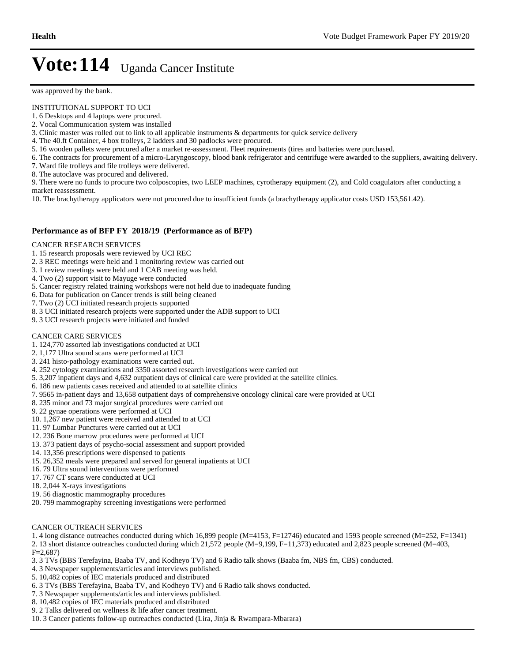was approved by the bank.

#### INSTITUTIONAL SUPPORT TO UCI

- 1. 6 Desktops and 4 laptops were procured.
- 2. Vocal Communication system was installed
- 3. Clinic master was rolled out to link to all applicable instruments & departments for quick service delivery
- 4. The 40.ft Container, 4 box trolleys, 2 ladders and 30 padlocks were procured.
- 5. 16 wooden pallets were procured after a market re-assessment. Fleet requirements (tires and batteries were purchased.
- 6. The contracts for procurement of a micro-Laryngoscopy, blood bank refrigerator and centrifuge were awarded to the suppliers, awaiting delivery.
- 7. Ward file trolleys and file trolleys were delivered.
- 8. The autoclave was procured and delivered.

9. There were no funds to procure two colposcopies, two LEEP machines, cyrotherapy equipment (2), and Cold coagulators after conducting a market reassessment.

10. The brachytherapy applicators were not procured due to insufficient funds (a brachytherapy applicator costs USD 153,561.42).

#### **Performance as of BFP FY 2018/19 (Performance as of BFP)**

#### CANCER RESEARCH SERVICES

- 1. 15 research proposals were reviewed by UCI REC
- 2. 3 REC meetings were held and 1 monitoring review was carried out
- 3. 1 review meetings were held and 1 CAB meeting was held.
- 4. Two (2) support visit to Mayuge were conducted
- 5. Cancer registry related training workshops were not held due to inadequate funding
- 6. Data for publication on Cancer trends is still being cleaned
- 7. Two (2) UCI initiated research projects supported
- 8. 3 UCI initiated research projects were supported under the ADB support to UCI
- 9. 3 UCI research projects were initiated and funded

#### CANCER CARE SERVICES

- 1. 124,770 assorted lab investigations conducted at UCI
- 2. 1,177 Ultra sound scans were performed at UCI
- 3. 241 histo-pathology examinations were carried out.
- 4. 252 cytology examinations and 3350 assorted research investigations were carried out
- 5. 3,207 inpatient days and 4,632 outpatient days of clinical care were provided at the satellite clinics.
- 6. 186 new patients cases received and attended to at satellite clinics
- 7. 9565 in-patient days and 13,658 outpatient days of comprehensive oncology clinical care were provided at UCI
- 8. 235 minor and 73 major surgical procedures were carried out
- 9. 22 gynae operations were performed at UCI
- 10. 1,267 new patient were received and attended to at UCI
- 11. 97 Lumbar Punctures were carried out at UCI
- 12. 236 Bone marrow procedures were performed at UCI
- 13. 373 patient days of psycho-social assessment and support provided
- 14. 13,356 prescriptions were dispensed to patients
- 15. 26,352 meals were prepared and served for general inpatients at UCI
- 16. 79 Ultra sound interventions were performed
- 17. 767 CT scans were conducted at UCI
- 18. 2,044 X-rays investigations
- 19. 56 diagnostic mammography procedures
- 20. 799 mammography screening investigations were performed

#### CANCER OUTREACH SERVICES

1. 4 long distance outreaches conducted during which 16,899 people (M=4153, F=12746) educated and 1593 people screened (M=252, F=1341)

2. 13 short distance outreaches conducted during which 21,572 people (M=9,199, F=11,373) educated and 2,823 people screened (M=403,

 $F=2.687$ 

- 3. 3 TVs (BBS Terefayina, Baaba TV, and Kodheyo TV) and 6 Radio talk shows (Baaba fm, NBS fm, CBS) conducted.
- 4. 3 Newspaper supplements/articles and interviews published.
- 5. 10,482 copies of IEC materials produced and distributed
- 6. 3 TVs (BBS Terefayina, Baaba TV, and Kodheyo TV) and 6 Radio talk shows conducted.
- 7. 3 Newspaper supplements/articles and interviews published.
- 8. 10,482 copies of IEC materials produced and distributed
- 9. 2 Talks delivered on wellness & life after cancer treatment.
- 10. 3 Cancer patients follow-up outreaches conducted (Lira, Jinja & Rwampara-Mbarara)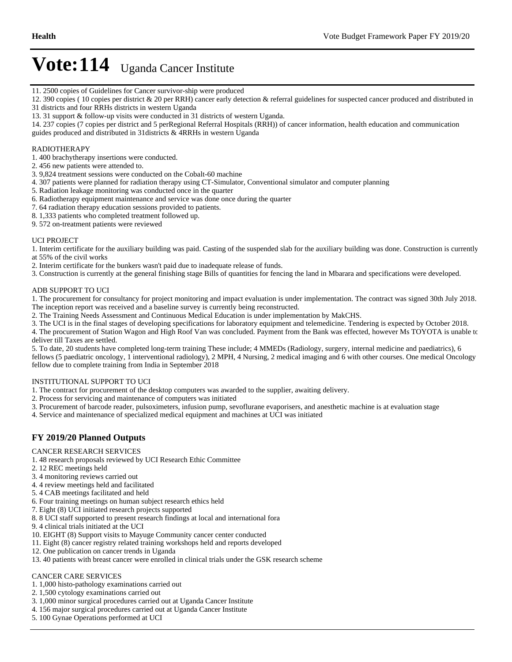- 11. 2500 copies of Guidelines for Cancer survivor-ship were produced
- 12. 390 copies ( 10 copies per district & 20 per RRH) cancer early detection & referral guidelines for suspected cancer produced and distributed in 31 districts and four RRHs districts in western Uganda
- 13. 31 support & follow-up visits were conducted in 31 districts of western Uganda.
- 14. 237 copies (7 copies per district and 5 perRegional Referral Hospitals (RRH)) of cancer information, health education and communication guides produced and distributed in 31districts & 4RRHs in western Uganda

### RADIOTHERAPY

- 1. 400 brachytherapy insertions were conducted.
- 2. 456 new patients were attended to.
- 3. 9,824 treatment sessions were conducted on the Cobalt-60 machine
- 4. 307 patients were planned for radiation therapy using CT-Simulator, Conventional simulator and computer planning
- 5. Radiation leakage monitoring was conducted once in the quarter
- 6. Radiotherapy equipment maintenance and service was done once during the quarter
- 7. 64 radiation therapy education sessions provided to patients.
- 8. 1,333 patients who completed treatment followed up.
- 9. 572 on-treatment patients were reviewed

#### UCI PROJECT

1. Interim certificate for the auxiliary building was paid. Casting of the suspended slab for the auxiliary building was done. Construction is currently at 55% of the civil works

- 2. Interim certificate for the bunkers wasn't paid due to inadequate release of funds.
- 3. Construction is currently at the general finishing stage Bills of quantities for fencing the land in Mbarara and specifications were developed.

#### ADB SUPPORT TO UCI

1. The procurement for consultancy for project monitoring and impact evaluation is under implementation. The contract was signed 30th July 2018. The inception report was received and a baseline survey is currently being reconstructed.

- 2. The Training Needs Assessment and Continuous Medical Education is under implementation by MakCHS.
- 3. The UCI is in the final stages of developing specifications for laboratory equipment and telemedicine. Tendering is expected by October 2018.
- 4. The procurement of Station Wagon and High Roof Van was concluded. Payment from the Bank was effected, however Ms TOYOTA is unable to deliver till Taxes are settled.

5. To date, 20 students have completed long-term training These include; 4 MMEDs (Radiology, surgery, internal medicine and paediatrics), 6 fellows (5 paediatric oncology, 1 interventional radiology), 2 MPH, 4 Nursing, 2 medical imaging and 6 with other courses. One medical Oncology fellow due to complete training from India in September 2018

#### INSTITUTIONAL SUPPORT TO UCI

- 1. The contract for procurement of the desktop computers was awarded to the supplier, awaiting delivery.
- 2. Process for servicing and maintenance of computers was initiated
- 3. Procurement of barcode reader, pulsoximeters, infusion pump, sevoflurane evaporisers, and anesthetic machine is at evaluation stage
- 4. Service and maintenance of specialized medical equipment and machines at UCI was initiated

# **FY 2019/20 Planned Outputs**

#### CANCER RESEARCH SERVICES

- 1. 48 research proposals reviewed by UCI Research Ethic Committee
- 2. 12 REC meetings held
- 3. 4 monitoring reviews carried out
- 4. 4 review meetings held and facilitated
- 5. 4 CAB meetings facilitated and held
- 6. Four training meetings on human subject research ethics held
- 7. Eight (8) UCI initiated research projects supported
- 8. 8 UCI staff supported to present research findings at local and international fora
- 9. 4 clinical trials initiated at the UCI
- 10. EIGHT (8) Support visits to Mayuge Community cancer center conducted
- 11. Eight (8) cancer registry related training workshops held and reports developed
- 12. One publication on cancer trends in Uganda
- 13. 40 patients with breast cancer were enrolled in clinical trials under the GSK research scheme

#### CANCER CARE SERVICES

- 1. 1,000 histo-pathology examinations carried out
- 2. 1,500 cytology examinations carried out
- 3. 1,000 minor surgical procedures carried out at Uganda Cancer Institute
- 4. 156 major surgical procedures carried out at Uganda Cancer Institute
- 5. 100 Gynae Operations performed at UCI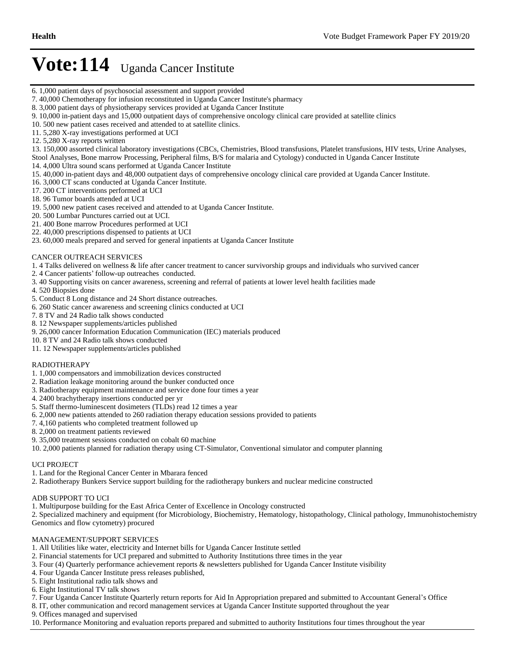- 6. 1,000 patient days of psychosocial assessment and support provided
- 7. 40,000 Chemotherapy for infusion reconstituted in Uganda Cancer Institute's pharmacy
- 8. 3,000 patient days of physiotherapy services provided at Uganda Cancer Institute
- 9. 10,000 in-patient days and 15,000 outpatient days of comprehensive oncology clinical care provided at satellite clinics
- 10. 500 new patient cases received and attended to at satellite clinics.
- 11. 5,280 X-ray investigations performed at UCI
- 12. 5,280 X-ray reports written
- 13. 150,000 assorted clinical laboratory investigations (CBCs, Chemistries, Blood transfusions, Platelet transfusions, HIV tests, Urine Analyses, Stool Analyses, Bone marrow Processing, Peripheral films, B/S for malaria and Cytology) conducted in Uganda Cancer Institute
- 14. 4,000 Ultra sound scans performed at Uganda Cancer Institute 15. 40,000 in-patient days and 48,000 outpatient days of comprehensive oncology clinical care provided at Uganda Cancer Institute.
- 16. 3,000 CT scans conducted at Uganda Cancer Institute.
- 17. 200 CT interventions performed at UCI
- 18. 96 Tumor boards attended at UCI
- 19. 5,000 new patient cases received and attended to at Uganda Cancer Institute.
- 20. 500 Lumbar Punctures carried out at UCI.
- 21. 400 Bone marrow Procedures performed at UCI
- 22. 40,000 prescriptions dispensed to patients at UCI
- 23. 60,000 meals prepared and served for general inpatients at Uganda Cancer Institute

#### CANCER OUTREACH SERVICES

1. 4 Talks delivered on wellness & life after cancer treatment to cancer survivorship groups and individuals who survived cancer

- 2. 4 Cancer patients' follow-up outreaches conducted.
- 3. 40 Supporting visits on cancer awareness, screening and referral of patients at lower level health facilities made
- 4. 520 Biopsies done
- 5. Conduct 8 Long distance and 24 Short distance outreaches.
- 6. 260 Static cancer awareness and screening clinics conducted at UCI
- 7. 8 TV and 24 Radio talk shows conducted
- 8. 12 Newspaper supplements/articles published
- 9. 26,000 cancer Information Education Communication (IEC) materials produced
- 10. 8 TV and 24 Radio talk shows conducted
- 11. 12 Newspaper supplements/articles published

#### RADIOTHERAPY

- 1. 1,000 compensators and immobilization devices constructed
- 2. Radiation leakage monitoring around the bunker conducted once
- 3. Radiotherapy equipment maintenance and service done four times a year
- 4. 2400 brachytherapy insertions conducted per yr
- 5. Staff thermo-luminescent dosimeters (TLDs) read 12 times a year
- 6. 2,000 new patients attended to 260 radiation therapy education sessions provided to patients
- 7. 4,160 patients who completed treatment followed up
- 8. 2,000 on treatment patients reviewed
- 9. 35,000 treatment sessions conducted on cobalt 60 machine
- 10. 2,000 patients planned for radiation therapy using CT-Simulator, Conventional simulator and computer planning

#### UCI PROJECT

- 1. Land for the Regional Cancer Center in Mbarara fenced
- 2. Radiotherapy Bunkers Service support building for the radiotherapy bunkers and nuclear medicine constructed

#### ADB SUPPORT TO UCI

- 1. Multipurpose building for the East Africa Center of Excellence in Oncology constructed
- 2. Specialized machinery and equipment (for Microbiology, Biochemistry, Hematology, histopathology, Clinical pathology, Immunohistochemistry, Genomics and flow cytometry) procured

#### MANAGEMENT/SUPPORT SERVICES

- 1. All Utilities like water, electricity and Internet bills for Uganda Cancer Institute settled
- 2. Financial statements for UCI prepared and submitted to Authority Institutions three times in the year
- 3. Four (4) Quarterly performance achievement reports & newsletters published for Uganda Cancer Institute visibility
- 4. Four Uganda Cancer Institute press releases published,
- 5. Eight Institutional radio talk shows and
- 6. Eight Institutional TV talk shows
- 7. Four Uganda Cancer Institute Quarterly return reports for Aid In Appropriation prepared and submitted to Accountant General's Office
- 8. IT, other communication and record management services at Uganda Cancer Institute supported throughout the year
- 9. Offices managed and supervised

10. Performance Monitoring and evaluation reports prepared and submitted to authority Institutions four times throughout the year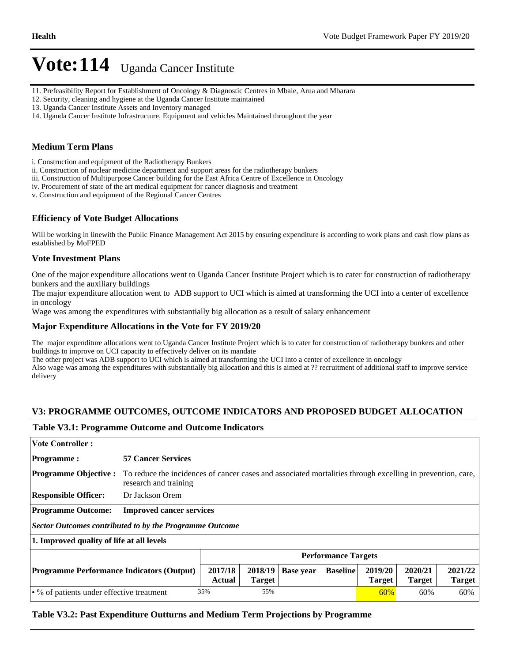- 11. Prefeasibility Report for Establishment of Oncology & Diagnostic Centres in Mbale, Arua and Mbarara
- 12. Security, cleaning and hygiene at the Uganda Cancer Institute maintained
- 13. Uganda Cancer Institute Assets and Inventory managed
- 14. Uganda Cancer Institute Infrastructure, Equipment and vehicles Maintained throughout the year

### **Medium Term Plans**

i. Construction and equipment of the Radiotherapy Bunkers

ii. Construction of nuclear medicine department and support areas for the radiotherapy bunkers

iii. Construction of Multipurpose Cancer building for the East Africa Centre of Excellence in Oncology

iv. Procurement of state of the art medical equipment for cancer diagnosis and treatment

v. Construction and equipment of the Regional Cancer Centres

### **Efficiency of Vote Budget Allocations**

Will be working in linewith the Public Finance Management Act 2015 by ensuring expenditure is according to work plans and cash flow plans as established by MoFPED

### **Vote Investment Plans**

One of the major expenditure allocations went to Uganda Cancer Institute Project which is to cater for construction of radiotherapy bunkers and the auxiliary buildings

The major expenditure allocation went to ADB support to UCI which is aimed at transforming the UCI into a center of excellence in oncology

Wage was among the expenditures with substantially big allocation as a result of salary enhancement

### **Major Expenditure Allocations in the Vote for FY 2019/20**

The major expenditure allocations went to Uganda Cancer Institute Project which is to cater for construction of radiotherapy bunkers and other buildings to improve on UCI capacity to effectively deliver on its mandate

The other project was ADB support to UCI which is aimed at transforming the UCI into a center of excellence in oncology Also wage was among the expenditures with substantially big allocation and this is aimed at ?? recruitment of additional staff to improve service delivery

### **V3: PROGRAMME OUTCOMES, OUTCOME INDICATORS AND PROPOSED BUDGET ALLOCATION**

### **Table V3.1: Programme Outcome and Outcome Indicators**

| <b>Vote Controller:</b>                                                                                                                                                                          |                                 |                                                                                                            |  |  |                          |     |  |  |  |
|--------------------------------------------------------------------------------------------------------------------------------------------------------------------------------------------------|---------------------------------|------------------------------------------------------------------------------------------------------------|--|--|--------------------------|-----|--|--|--|
| <b>Programme:</b>                                                                                                                                                                                | <b>57 Cancer Services</b>       |                                                                                                            |  |  |                          |     |  |  |  |
| <b>Programme Objective:</b>                                                                                                                                                                      | research and training           | To reduce the incidences of cancer cases and associated mortalities through excelling in prevention, care, |  |  |                          |     |  |  |  |
| <b>Responsible Officer:</b>                                                                                                                                                                      | Dr Jackson Orem                 |                                                                                                            |  |  |                          |     |  |  |  |
| <b>Programme Outcome:</b>                                                                                                                                                                        | <b>Improved cancer services</b> |                                                                                                            |  |  |                          |     |  |  |  |
| <b>Sector Outcomes contributed to by the Programme Outcome</b>                                                                                                                                   |                                 |                                                                                                            |  |  |                          |     |  |  |  |
| 1. Improved quality of life at all levels                                                                                                                                                        |                                 |                                                                                                            |  |  |                          |     |  |  |  |
|                                                                                                                                                                                                  | <b>Performance Targets</b>      |                                                                                                            |  |  |                          |     |  |  |  |
| 2020/21<br>2017/18<br>2018/19<br>2019/20<br><b>Baseline</b><br><b>Programme Performance Indicators (Output)</b><br><b>Base year</b><br>Actual<br><b>Target</b><br><b>Target</b><br><b>Target</b> |                                 |                                                                                                            |  |  | 2021/22<br><b>Target</b> |     |  |  |  |
| 35%<br>55%<br>$\cdot$ % of patients under effective treatment<br>60%<br>60%                                                                                                                      |                                 |                                                                                                            |  |  |                          | 60% |  |  |  |

### **Table V3.2: Past Expenditure Outturns and Medium Term Projections by Programme**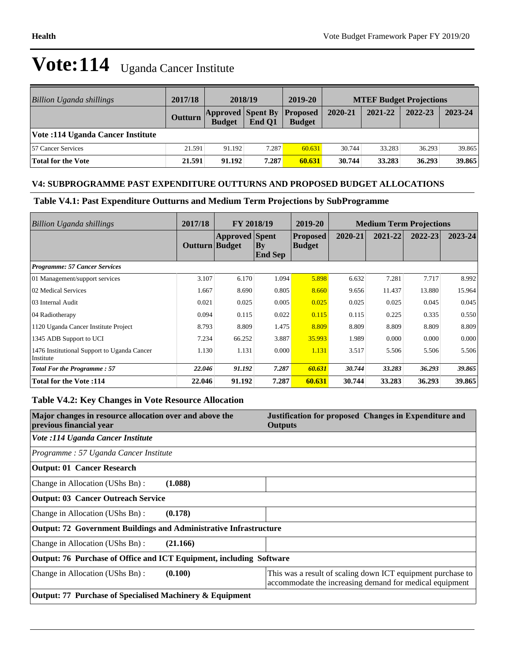| Billion Uganda shillings          | 2017/18 | 2018/19                                            |        | 2019-20       | <b>MTEF Budget Projections</b> |         |         |         |
|-----------------------------------|---------|----------------------------------------------------|--------|---------------|--------------------------------|---------|---------|---------|
|                                   | Outturn | <b>Approved Spent By Proposed</b><br><b>Budget</b> | End O1 | <b>Budget</b> | 2020-21                        | 2021-22 | 2022-23 | 2023-24 |
| Vote: 114 Uganda Cancer Institute |         |                                                    |        |               |                                |         |         |         |
| <b>57 Cancer Services</b>         | 21.591  | 91.192                                             | 7.287  | 60.631        | 30.744                         | 33.283  | 36.293  | 39.865  |
| <b>Total for the Vote</b>         | 21.591  | 91.192                                             | 7.287  | 60.631        | 30.744                         | 33.283  | 36.293  | 39.865  |

# **V4: SUBPROGRAMME PAST EXPENDITURE OUTTURNS AND PROPOSED BUDGET ALLOCATIONS**

**Table V4.1: Past Expenditure Outturns and Medium Term Projections by SubProgramme**

| Billion Uganda shillings                                 | 2017/18        | FY 2018/19            |                       | 2019-20<br><b>Medium Term Projections</b> |         |         |         |         |
|----------------------------------------------------------|----------------|-----------------------|-----------------------|-------------------------------------------|---------|---------|---------|---------|
|                                                          | Outturn Budget | <b>Approved</b> Spent | By <br><b>End Sep</b> | <b>Proposed</b><br>Budget                 | 2020-21 | 2021-22 | 2022-23 | 2023-24 |
| <b>Programme: 57 Cancer Services</b>                     |                |                       |                       |                                           |         |         |         |         |
| 01 Management/support services                           | 3.107          | 6.170                 | 1.094                 | 5.898                                     | 6.632   | 7.281   | 7.717   | 8.992   |
| 02 Medical Services                                      | 1.667          | 8.690                 | 0.805                 | 8.660                                     | 9.656   | 11.437  | 13.880  | 15.964  |
| 03 Internal Audit                                        | 0.021          | 0.025                 | 0.005                 | 0.025                                     | 0.025   | 0.025   | 0.045   | 0.045   |
| 04 Radiotherapy                                          | 0.094          | 0.115                 | 0.022                 | 0.115                                     | 0.115   | 0.225   | 0.335   | 0.550   |
| 1120 Uganda Cancer Institute Project                     | 8.793          | 8.809                 | 1.475                 | 8.809                                     | 8.809   | 8.809   | 8.809   | 8.809   |
| 1345 ADB Support to UCI                                  | 7.234          | 66.252                | 3.887                 | 35.993                                    | 1.989   | 0.000   | 0.000   | 0.000   |
| 1476 Institutional Support to Uganda Cancer<br>Institute | 1.130          | 1.131                 | 0.000                 | 1.131                                     | 3.517   | 5.506   | 5.506   | 5.506   |
| <b>Total For the Programme: 57</b>                       | 22.046         | 91.192                | 7.287                 | 60.631                                    | 30.744  | 33.283  | 36.293  | 39.865  |
| <b>Total for the Vote:114</b>                            | 22.046         | 91.192                | 7.287                 | 60.631                                    | 30.744  | 33.283  | 36.293  | 39.865  |

# **Table V4.2: Key Changes in Vote Resource Allocation**

| Major changes in resource allocation over and above the<br>previous financial year | Justification for proposed Changes in Expenditure and<br><b>Outputs</b>                                                |
|------------------------------------------------------------------------------------|------------------------------------------------------------------------------------------------------------------------|
| Vote :114 Uganda Cancer Institute                                                  |                                                                                                                        |
| Programme: 57 Uganda Cancer Institute                                              |                                                                                                                        |
| <b>Output: 01 Cancer Research</b>                                                  |                                                                                                                        |
| (1.088)<br>Change in Allocation (UShs Bn):                                         |                                                                                                                        |
| <b>Output: 03 Cancer Outreach Service</b>                                          |                                                                                                                        |
| (0.178)<br>Change in Allocation (UShs Bn):                                         |                                                                                                                        |
| <b>Output: 72 Government Buildings and Administrative Infrastructure</b>           |                                                                                                                        |
| Change in Allocation (UShs Bn):<br>(21.166)                                        |                                                                                                                        |
| Output: 76 Purchase of Office and ICT Equipment, including Software                |                                                                                                                        |
| Change in Allocation (UShs Bn):<br>(0.100)                                         | This was a result of scaling down ICT equipment purchase to<br>accommodate the increasing demand for medical equipment |
| Output: 77 Purchase of Specialised Machinery & Equipment                           |                                                                                                                        |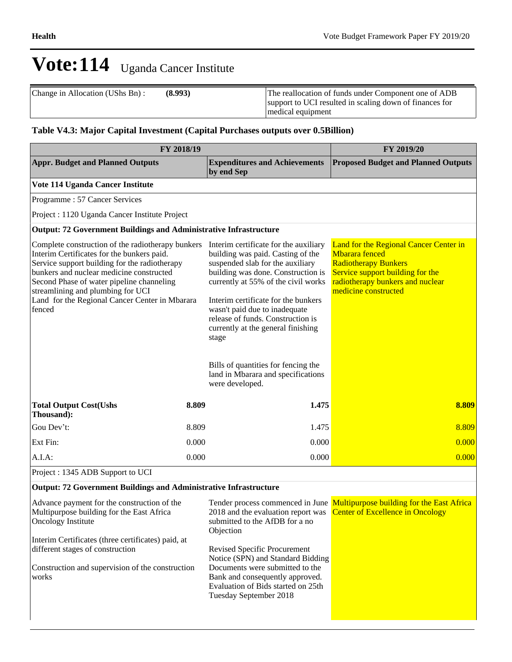| Change in Allocation (UShs Bn): | (8.993) | The reallocation of funds under Component one of ADB<br>support to UCI resulted in scaling down of finances for<br>medical equipment |
|---------------------------------|---------|--------------------------------------------------------------------------------------------------------------------------------------|
|                                 |         |                                                                                                                                      |

# **Table V4.3: Major Capital Investment (Capital Purchases outputs over 0.5Billion)**

| FY 2018/19                                                                                                                                                                                                                                                                                                                                 | FY 2019/20 |                                                                                                                                                                                                                                                                                                                                                                                                                                                         |                                                                                                                                                                                                 |  |  |
|--------------------------------------------------------------------------------------------------------------------------------------------------------------------------------------------------------------------------------------------------------------------------------------------------------------------------------------------|------------|---------------------------------------------------------------------------------------------------------------------------------------------------------------------------------------------------------------------------------------------------------------------------------------------------------------------------------------------------------------------------------------------------------------------------------------------------------|-------------------------------------------------------------------------------------------------------------------------------------------------------------------------------------------------|--|--|
| <b>Appr. Budget and Planned Outputs</b>                                                                                                                                                                                                                                                                                                    |            | <b>Expenditures and Achievements</b><br>by end Sep                                                                                                                                                                                                                                                                                                                                                                                                      | <b>Proposed Budget and Planned Outputs</b>                                                                                                                                                      |  |  |
| Vote 114 Uganda Cancer Institute                                                                                                                                                                                                                                                                                                           |            |                                                                                                                                                                                                                                                                                                                                                                                                                                                         |                                                                                                                                                                                                 |  |  |
| Programme: 57 Cancer Services                                                                                                                                                                                                                                                                                                              |            |                                                                                                                                                                                                                                                                                                                                                                                                                                                         |                                                                                                                                                                                                 |  |  |
| Project : 1120 Uganda Cancer Institute Project                                                                                                                                                                                                                                                                                             |            |                                                                                                                                                                                                                                                                                                                                                                                                                                                         |                                                                                                                                                                                                 |  |  |
| <b>Output: 72 Government Buildings and Administrative Infrastructure</b>                                                                                                                                                                                                                                                                   |            |                                                                                                                                                                                                                                                                                                                                                                                                                                                         |                                                                                                                                                                                                 |  |  |
| Complete construction of the radiotherapy bunkers<br>Interim Certificates for the bunkers paid.<br>Service support building for the radiotherapy<br>bunkers and nuclear medicine constructed<br>Second Phase of water pipeline channeling<br>streamlining and plumbing for UCI<br>Land for the Regional Cancer Center in Mbarara<br>fenced |            | Interim certificate for the auxiliary<br>building was paid. Casting of the<br>suspended slab for the auxiliary<br>building was done. Construction is<br>currently at 55% of the civil works<br>Interim certificate for the bunkers<br>wasn't paid due to inadequate<br>release of funds. Construction is<br>currently at the general finishing<br>stage<br>Bills of quantities for fencing the<br>land in Mbarara and specifications<br>were developed. | Land for the Regional Cancer Center in<br><b>M</b> barara fenced<br><b>Radiotherapy Bunkers</b><br>Service support building for the<br>radiotherapy bunkers and nuclear<br>medicine constructed |  |  |
| <b>Total Output Cost(Ushs</b><br>Thousand):                                                                                                                                                                                                                                                                                                | 8.809      | 1.475                                                                                                                                                                                                                                                                                                                                                                                                                                                   | 8.809                                                                                                                                                                                           |  |  |
| Gou Dev't:                                                                                                                                                                                                                                                                                                                                 | 8.809      | 1.475                                                                                                                                                                                                                                                                                                                                                                                                                                                   | 8.809                                                                                                                                                                                           |  |  |
| Ext Fin:                                                                                                                                                                                                                                                                                                                                   | 0.000      | 0.000                                                                                                                                                                                                                                                                                                                                                                                                                                                   | 0.000                                                                                                                                                                                           |  |  |
| A.I.A:                                                                                                                                                                                                                                                                                                                                     | 0.000      | 0.000                                                                                                                                                                                                                                                                                                                                                                                                                                                   | 0.000                                                                                                                                                                                           |  |  |
| Project : 1345 ADB Support to UCI                                                                                                                                                                                                                                                                                                          |            |                                                                                                                                                                                                                                                                                                                                                                                                                                                         |                                                                                                                                                                                                 |  |  |
| <b>Output: 72 Government Buildings and Administrative Infrastructure</b>                                                                                                                                                                                                                                                                   |            |                                                                                                                                                                                                                                                                                                                                                                                                                                                         |                                                                                                                                                                                                 |  |  |

#### Advance payment for the construction of the Multipurpose building for the East Africa Oncology Institute Interim Certificates (three certificates) paid, at different stages of construction Construction and supervision of the construction works Tender process commenced in June Multipurpose building for the East Africa 2018 and the evaluation report was submitted to the AfDB for a no Objection Revised Specific Procurement Notice (SPN) and Standard Bidding Documents were submitted to the Bank and consequently approved. Evaluation of Bids started on 25th Tuesday September 2018 Center of Excellence in Oncology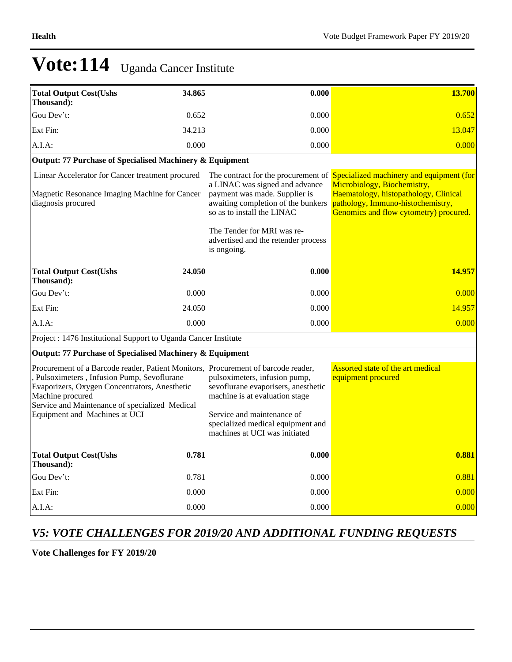| <b>Total Output Cost(Ushs</b><br>Thousand):                                                                                                                                                                                                             | 34.865 | 0.000                                                                                                                                                                                                                   | 13.700                                                                                                                                                                                                                              |
|---------------------------------------------------------------------------------------------------------------------------------------------------------------------------------------------------------------------------------------------------------|--------|-------------------------------------------------------------------------------------------------------------------------------------------------------------------------------------------------------------------------|-------------------------------------------------------------------------------------------------------------------------------------------------------------------------------------------------------------------------------------|
| Gou Dev't:                                                                                                                                                                                                                                              | 0.652  | 0.000                                                                                                                                                                                                                   | 0.652                                                                                                                                                                                                                               |
| Ext Fin:                                                                                                                                                                                                                                                | 34.213 | 0.000                                                                                                                                                                                                                   | 13.047                                                                                                                                                                                                                              |
| A.I.A.                                                                                                                                                                                                                                                  | 0.000  | 0.000                                                                                                                                                                                                                   | 0.000                                                                                                                                                                                                                               |
| Output: 77 Purchase of Specialised Machinery & Equipment                                                                                                                                                                                                |        |                                                                                                                                                                                                                         |                                                                                                                                                                                                                                     |
| Linear Accelerator for Cancer treatment procured<br>Magnetic Resonance Imaging Machine for Cancer<br>diagnosis procured                                                                                                                                 |        | a LINAC was signed and advance<br>payment was made. Supplier is<br>awaiting completion of the bunkers<br>so as to install the LINAC<br>The Tender for MRI was re-<br>advertised and the retender process<br>is ongoing. | The contract for the procurement of Specialized machinery and equipment (for<br>Microbiology, Biochemistry,<br>Haematology, histopathology, Clinical<br>pathology, Immuno-histochemistry,<br>Genomics and flow cytometry) procured. |
| <b>Total Output Cost(Ushs</b><br>Thousand):                                                                                                                                                                                                             | 24.050 | 0.000                                                                                                                                                                                                                   | 14.957                                                                                                                                                                                                                              |
| Gou Dev't:                                                                                                                                                                                                                                              | 0.000  | 0.000                                                                                                                                                                                                                   | 0.000                                                                                                                                                                                                                               |
| Ext Fin:                                                                                                                                                                                                                                                | 24.050 | 0.000                                                                                                                                                                                                                   | 14.957                                                                                                                                                                                                                              |
| $A.I.A$ :                                                                                                                                                                                                                                               | 0.000  | 0.000                                                                                                                                                                                                                   | 0.000                                                                                                                                                                                                                               |
| Project : 1476 Institutional Support to Uganda Cancer Institute                                                                                                                                                                                         |        |                                                                                                                                                                                                                         |                                                                                                                                                                                                                                     |
| Output: 77 Purchase of Specialised Machinery & Equipment                                                                                                                                                                                                |        |                                                                                                                                                                                                                         |                                                                                                                                                                                                                                     |
| Procurement of a Barcode reader, Patient Monitors, Procurement of barcode reader,<br>, Pulsoximeters, Infusion Pump, Sevoflurane<br>Evaporizers, Oxygen Concentrators, Anesthetic<br>Machine procured<br>Service and Maintenance of specialized Medical |        | pulsoximeters, infusion pump,<br>sevoflurane evaporisers, anesthetic<br>machine is at evaluation stage                                                                                                                  | Assorted state of the art medical<br>equipment procured                                                                                                                                                                             |
| Equipment and Machines at UCI                                                                                                                                                                                                                           |        | Service and maintenance of<br>specialized medical equipment and<br>machines at UCI was initiated                                                                                                                        |                                                                                                                                                                                                                                     |
| <b>Total Output Cost(Ushs</b><br>Thousand):                                                                                                                                                                                                             | 0.781  | 0.000                                                                                                                                                                                                                   | 0.881                                                                                                                                                                                                                               |
| Gou Dev't:                                                                                                                                                                                                                                              | 0.781  | 0.000                                                                                                                                                                                                                   | 0.881                                                                                                                                                                                                                               |
| Ext Fin:                                                                                                                                                                                                                                                | 0.000  | 0.000                                                                                                                                                                                                                   | 0.000                                                                                                                                                                                                                               |
| $A.I.A$ :                                                                                                                                                                                                                                               | 0.000  | 0.000                                                                                                                                                                                                                   | 0.000                                                                                                                                                                                                                               |

# *V5: VOTE CHALLENGES FOR 2019/20 AND ADDITIONAL FUNDING REQUESTS*

**Vote Challenges for FY 2019/20**